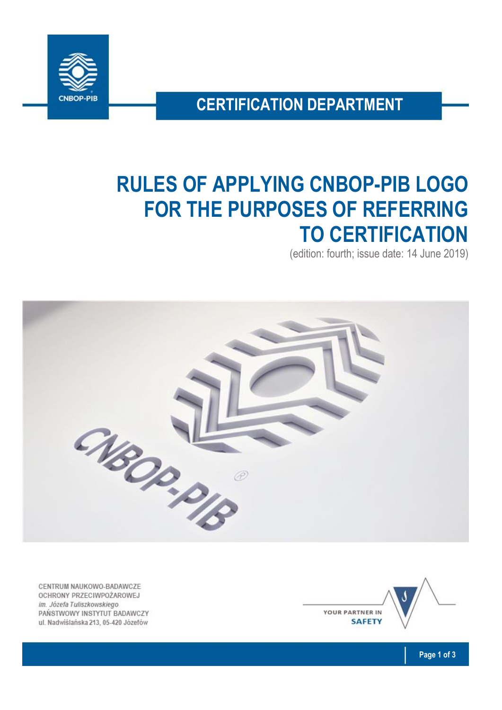

**CERTIFICATION DEPARTMENT**

# **RULES OF APPLYING CNBOP-PIB LOGO FOR THE PURPOSES OF REFERRING TO CERTIFICATION**

(edition: fourth; issue date: 14 June 2019)



CENTRUM NAUKOWO-BADAWCZE OCHRONY PRZECIWPOŻAROWEJ im. Józefa Tuliszkowskiego PAŃSTWOWY INSTYTUT BADAWCZY ul. Nadwiślańska 213, 05-420 Józefów

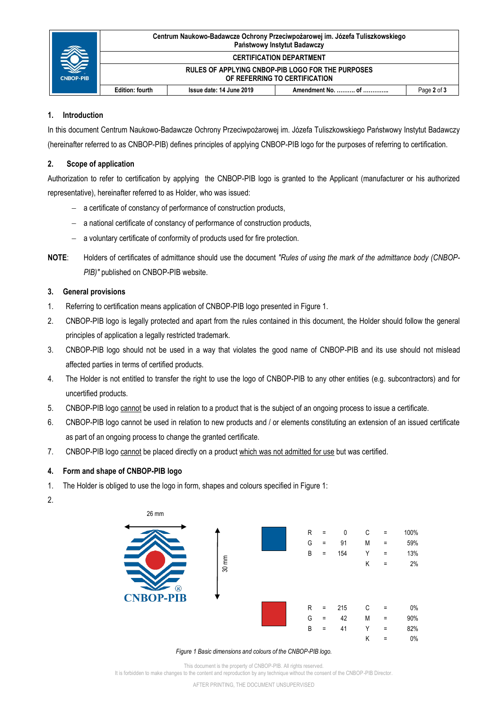| <b>CNBOP-PIB</b> | Centrum Naukowo-Badawcze Ochrony Przeciwpożarowej im. Józefa Tuliszkowskiego<br>Państwowy Instytut Badawczy |                          |  |             |
|------------------|-------------------------------------------------------------------------------------------------------------|--------------------------|--|-------------|
|                  | <b>CERTIFICATION DEPARTMENT</b>                                                                             |                          |  |             |
|                  | RULES OF APPLYING CNBOP-PIB LOGO FOR THE PURPOSES<br>OF REFERRING TO CERTIFICATION                          |                          |  |             |
|                  | Edition: fourth                                                                                             | Issue date: 14 June 2019 |  | Page 2 of 3 |

# **1. Introduction**

In this document Centrum Naukowo-Badawcze Ochrony Przeciwpożarowej im. Józefa Tuliszkowskiego Państwowy Instytut Badawczy (hereinafter referred to as CNBOP-PIB) defines principles of applying CNBOP-PIB logo for the purposes of referring to certification.

# **2. Scope of application**

Authorization to refer to certification by applying the CNBOP-PIB logo is granted to the Applicant (manufacturer or his authorized representative), hereinafter referred to as Holder, who was issued:

- a certificate of constancy of performance of construction products,
- a national certificate of constancy of performance of construction products,
- a voluntary certificate of conformity of products used for fire protection.
- **NOTE**: Holders of certificates of admittance should use the document *"Rules of using the mark of the admittance body (CNBOP-PIB)"* published on CNBOP-PIB website.

### **3. General provisions**

- 1. Referring to certification means application of CNBOP-PIB logo presented in Figure 1.
- 2. CNBOP-PIB logo is legally protected and apart from the rules contained in this document, the Holder should follow the general principles of application a legally restricted trademark.
- 3. CNBOP-PIB logo should not be used in a way that violates the good name of CNBOP-PIB and its use should not mislead affected parties in terms of certified products.
- 4. The Holder is not entitled to transfer the right to use the logo of CNBOP-PIB to any other entities (e.g. subcontractors) and for uncertified products.
- 5. CNBOP-PIB logo cannot be used in relation to a product that is the subject of an ongoing process to issue a certificate.
- 6. CNBOP-PIB logo cannot be used in relation to new products and / or elements constituting an extension of an issued certificate as part of an ongoing process to change the granted certificate.
- 7. CNBOP-PIB logo cannot be placed directly on a product which was not admitted for use but was certified.

### **4. Form and shape of CNBOP-PIB logo**

- 1. The Holder is obliged to use the logo in form, shapes and colours specified in Figure 1:
- 2.



#### *Figure 1 Basic dimensions and colours of the CNBOP-PIB logo.*

This document is the property of CNBOP-PIB. All rights reserved. It is forbidden to make changes to the content and reproduction by any technique without the consent of the CNBOP-PIB Director.